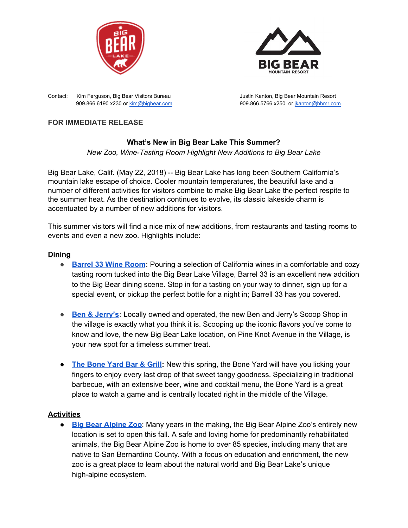



Contact: Kim Ferguson, Big Bear Visitors Bureau Justin Kanton, Big Bear Mountain Resort

909.866.6190 x230 or [kim@bigbear.com](mailto:kim@bigbear.com) 909.866.5766 x250 or [jkanton@bbmr.com](mailto:jkanton@bbmr.com)

# **FOR IMMEDIATE RELEASE**

# **What's New in Big Bear Lake This Summer?**

*New Zoo, Wine-Tasting Room Highlight New Additions to Big Bear Lake*

Big Bear Lake, Calif. (May 22, 2018) -- Big Bear Lake has long been Southern California's mountain lake escape of choice. Cooler mountain temperatures, the beautiful lake and a number of different activities for visitors combine to make Big Bear Lake the perfect respite to the summer heat. As the destination continues to evolve, its classic lakeside charm is accentuated by a number of new additions for visitors.

This summer visitors will find a nice mix of new additions, from restaurants and tasting rooms to events and even a new zoo. Highlights include:

# **Dining**

- **[Barrel](https://www.barrel33bigbear.com/home) 33 Wine Room:** Pouring a selection of California wines in a comfortable and cozy tasting room tucked into the Big Bear Lake Village, Barrel 33 is an excellent new addition to the Big Bear dining scene. Stop in for a tasting on your way to dinner, sign up for a special event, or pickup the perfect bottle for a night in; Barrell 33 has you covered.
- **● Ben & [Jerry's](https://www.benjerry.com/bigbearlake):** Locally owned and operated, the new Ben and Jerry's Scoop Shop in the village is exactly what you think it is. Scooping up the iconic flavors you've come to know and love, the new Big Bear Lake location, on Pine Knot Avenue in the Village, is your new spot for a timeless summer treat.
- **The [Bone](http://theboneyardbarandgrill.com/) Yard Bar & Grill:** New this spring, the Bone Yard will have you licking your fingers to enjoy every last drop of that sweet tangy goodness. Specializing in traditional barbecue, with an extensive beer, wine and cocktail menu, the Bone Yard is a great place to watch a game and is centrally located right in the middle of the Village.

# **Activities**

● **Big Bear [Alpine](http://bigbearzoo.org/) Zoo**: Many years in the making, the Big Bear Alpine Zoo's entirely new location is set to open this fall. A safe and loving home for predominantly rehabilitated animals, the Big Bear Alpine Zoo is home to over 85 species, including many that are native to San Bernardino County. With a focus on education and enrichment, the new zoo is a great place to learn about the natural world and Big Bear Lake's unique high-alpine ecosystem.